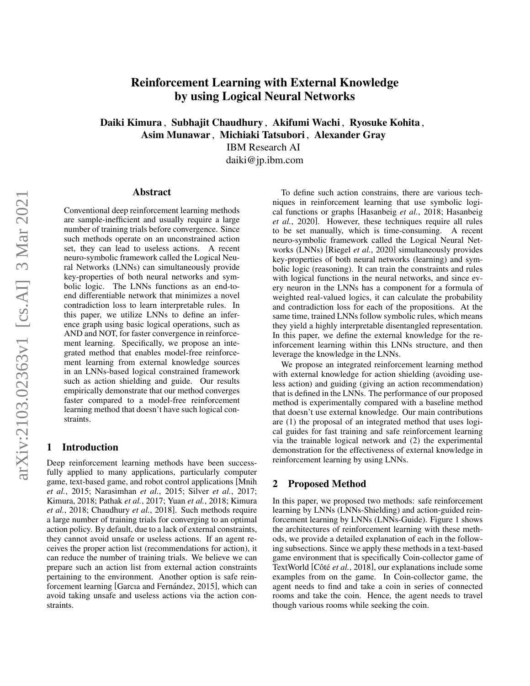# Reinforcement Learning with External Knowledge by using Logical Neural Networks

Daiki Kimura , Subhajit Chaudhury , Akifumi Wachi , Ryosuke Kohita , Asim Munawar , Michiaki Tatsubori , Alexander Gray

IBM Research AI

daiki@jp.ibm.com

#### Abstract

Conventional deep reinforcement learning methods are sample-inefficient and usually require a large number of training trials before convergence. Since such methods operate on an unconstrained action set, they can lead to useless actions. A recent neuro-symbolic framework called the Logical Neural Networks (LNNs) can simultaneously provide key-properties of both neural networks and symbolic logic. The LNNs functions as an end-toend differentiable network that minimizes a novel contradiction loss to learn interpretable rules. In this paper, we utilize LNNs to define an inference graph using basic logical operations, such as AND and NOT, for faster convergence in reinforcement learning. Specifically, we propose an integrated method that enables model-free reinforcement learning from external knowledge sources in an LNNs-based logical constrained framework such as action shielding and guide. Our results empirically demonstrate that our method converges faster compared to a model-free reinforcement learning method that doesn't have such logical constraints.

# 1 Introduction

Deep reinforcement learning methods have been successfully applied to many applications, particularly computer game, text-based game, and robot control applications [\[Mnih](#page-3-0) *et al.*[, 2015;](#page-3-0) [Narasimhan](#page-3-1) *et al.*, 2015; Silver *et al.*[, 2017;](#page-3-2) [Kimura, 2018;](#page-3-3) [Pathak](#page-3-4) *et al.*, 2017; Yuan *et al.*[, 2018;](#page-3-5) [Kimura](#page-3-6) *et al.*[, 2018;](#page-3-6) [Chaudhury](#page-3-7) *et al.*, 2018]. Such methods require a large number of training trials for converging to an optimal action policy. By default, due to a lack of external constraints, they cannot avoid unsafe or useless actions. If an agent receives the proper action list (recommendations for action), it can reduce the number of training trials. We believe we can prepare such an action list from external action constraints pertaining to the environment. Another option is safe reinforcement learning [Garcıa and Fernández, 2015], which can avoid taking unsafe and useless actions via the action constraints.

To define such action constrains, there are various techniques in reinforcement learning that use symbolic logical functions or graphs [\[Hasanbeig](#page-3-9) *et al.*, 2018; [Hasanbeig](#page-3-10) *et al.*[, 2020\]](#page-3-10). However, these techniques require all rules to be set manually, which is time-consuming. A recent neuro-symbolic framework called the Logical Neural Networks (LNNs) [\[Riegel](#page-3-11) *et al.*, 2020] simultaneously provides key-properties of both neural networks (learning) and symbolic logic (reasoning). It can train the constraints and rules with logical functions in the neural networks, and since every neuron in the LNNs has a component for a formula of weighted real-valued logics, it can calculate the probability and contradiction loss for each of the propositions. At the same time, trained LNNs follow symbolic rules, which means they yield a highly interpretable disentangled representation. In this paper, we define the external knowledge for the reinforcement learning within this LNNs structure, and then leverage the knowledge in the LNNs.

We propose an integrated reinforcement learning method with external knowledge for action shielding (avoiding useless action) and guiding (giving an action recommendation) that is defined in the LNNs. The performance of our proposed method is experimentally compared with a baseline method that doesn't use external knowledge. Our main contributions are (1) the proposal of an integrated method that uses logical guides for fast training and safe reinforcement learning via the trainable logical network and (2) the experimental demonstration for the effectiveness of external knowledge in reinforcement learning by using LNNs.

## 2 Proposed Method

In this paper, we proposed two methods: safe reinforcement learning by LNNs (LNNs-Shielding) and action-guided reinforcement learning by LNNs (LNNs-Guide). Figure [1](#page-1-0) shows the architectures of reinforcement learning with these methods, we provide a detailed explanation of each in the following subsections. Since we apply these methods in a text-based game environment that is specifically Coin-collector game of TextWorld [Côté et al.[, 2018\]](#page-3-12), our explanations include some examples from on the game. In Coin-collector game, the agent needs to find and take a coin in series of connected rooms and take the coin. Hence, the agent needs to travel though various rooms while seeking the coin.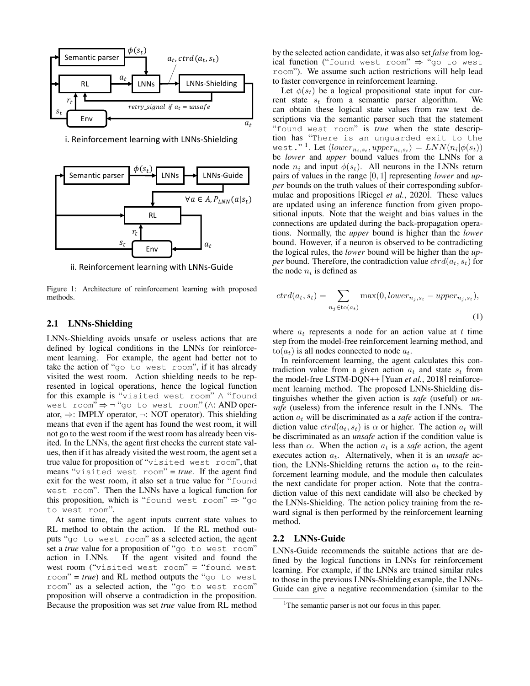<span id="page-1-0"></span>

i. Reinforcement learning with LNNs-Shielding



ii. Reinforcement learning with LNNs-Guide

Figure 1: Architecture of reinforcement learning with proposed methods.

#### 2.1 LNNs-Shielding

LNNs-Shielding avoids unsafe or useless actions that are defined by logical conditions in the LNNs for reinforcement learning. For example, the agent had better not to take the action of "go to west room", if it has already visited the west room. Action shielding needs to be represented in logical operations, hence the logical function for this example is "visited west room" ∧ "found west room" ⇒ ¬ "go to west room" (∧: AND operator, ⇒: IMPLY operator, ¬: NOT operator). This shielding means that even if the agent has found the west room, it will not go to the west room if the west room has already been visited. In the LNNs, the agent first checks the current state values, then if it has already visited the west room, the agent set a true value for proposition of "visited west room", that means "visited west room" = *true*. If the agent find exit for the west room, it also set a true value for "found west room". Then the LNNs have a logical function for this proposition, which is "found west room"  $\Rightarrow$  "go to west room".

At same time, the agent inputs current state values to RL method to obtain the action. If the RL method outputs "go to west room" as a selected action, the agent set a *true* value for a proposition of "go to west room" action in LNNs. If the agent visited and found the west room ("visited west room" = "found west room" = *true*) and RL method outputs the "go to west room" as a selected action, the "go to west room" proposition will observe a contradiction in the proposition. Because the proposition was set *true* value from RL method by the selected action candidate, it was also set *false* from logical function ("found west room" ⇒ "go to west room"). We assume such action restrictions will help lead to faster convergence in reinforcement learning.

Let  $\phi(s_t)$  be a logical propositional state input for current state  $s_t$  from a semantic parser algorithm. We can obtain these logical state values from raw text descriptions via the semantic parser such that the statement "found west room" is *true* when the state description has "There is an unguarded exit to the west."<sup>[1](#page-1-1)</sup>. Let  $\langle lower_{n_i,s_t},upper_{n_i,s_t}\rangle = LNN(n_i|\phi(s_t))$ be *lower* and *upper* bound values from the LNNs for a node  $n_i$  and input  $\phi(s_t)$ . All neurons in the LNNs return pairs of values in the range [0, 1] representing *lower* and *upper* bounds on the truth values of their corresponding subformulae and propositions [\[Riegel](#page-3-11) *et al.*, 2020]. These values are updated using an inference function from given propositional inputs. Note that the weight and bias values in the connections are updated during the back-propagation operations. Normally, the *upper* bound is higher than the *lower* bound. However, if a neuron is observed to be contradicting the logical rules, the *lower* bound will be higher than the *upper* bound. Therefore, the contradiction value  $crd(a_t, s_t)$  for the node  $n_i$  is defined as

$$
ctrd(a_t, s_t) = \sum_{n_j \in \text{to}(a_t)} \max(0, lower_{n_j, s_t} - upper_{n_j, s_t}),
$$
\n(1)

where  $a_t$  represents a node for an action value at t time step from the model-free reinforcement learning method, and  $\text{to}(a_t)$  is all nodes connected to node  $a_t$ .

In reinforcement learning, the agent calculates this contradiction value from a given action  $a_t$  and state  $s_t$  from the model-free LSTM-DQN++ [Yuan *et al.*[, 2018\]](#page-3-5) reinforcement learning method. The proposed LNNs-Shielding distinguishes whether the given action is *safe* (useful) or *unsafe* (useless) from the inference result in the LNNs. The action  $a_t$  will be discriminated as a *safe* action if the contradiction value  $crd(a_t, s_t)$  is  $\alpha$  or higher. The action  $a_t$  will be discriminated as an *unsafe* action if the condition value is less than  $\alpha$ . When the action  $a_t$  is a *safe* action, the agent executes action  $a_t$ . Alternatively, when it is an *unsafe* action, the LNNs-Shielding returns the action  $a_t$  to the reinforcement learning module, and the module then calculates the next candidate for proper action. Note that the contradiction value of this next candidate will also be checked by the LNNs-Shielding. The action policy training from the reward signal is then performed by the reinforcement learning method.

#### 2.2 LNNs-Guide

LNNs-Guide recommends the suitable actions that are defined by the logical functions in LNNs for reinforcement learning. For example, if the LNNs are trained similar rules to those in the previous LNNs-Shielding example, the LNNs-Guide can give a negative recommendation (similar to the

<span id="page-1-1"></span><sup>&</sup>lt;sup>1</sup>The semantic parser is not our focus in this paper.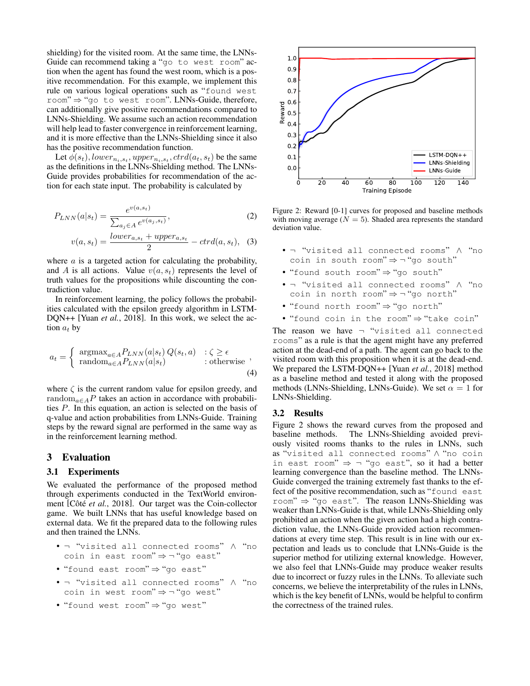shielding) for the visited room. At the same time, the LNNs-Guide can recommend taking a "go to west room" action when the agent has found the west room, which is a positive recommendation. For this example, we implement this rule on various logical operations such as "found west room" ⇒ "go to west room". LNNs-Guide, therefore, can additionally give positive recommendations compared to LNNs-Shielding. We assume such an action recommendation will help lead to faster convergence in reinforcement learning, and it is more effective than the LNNs-Shielding since it also has the positive recommendation function.

Let  $\phi(s_t)$ , lower<sub>ni,st</sub>, upper<sub>ni,st</sub>, ctrd $(a_t, s_t)$  be the same as the definitions in the LNNs-Shielding method. The LNNs-Guide provides probabilities for recommendation of the action for each state input. The probability is calculated by

$$
P_{LNN}(a|s_t) = \frac{e^{v(a,s_t)}}{\sum_{a_j \in A} e^{v(a_j,s_t)}},\tag{2}
$$

$$
v(a, s_t) = \frac{lower_{a,s_t} + upper_{a,s_t}}{2} - ctrd(a, s_t), \quad (3)
$$

where  $a$  is a targeted action for calculating the probability, and A is all actions. Value  $v(a, s_t)$  represents the level of truth values for the propositions while discounting the contradiction value.

In reinforcement learning, the policy follows the probabilities calculated with the epsilon greedy algorithm in LSTM-DQN++ [Yuan *et al.*[, 2018\]](#page-3-5). In this work, we select the action  $a_t$  by

$$
a_{t} = \begin{cases} \operatorname{argmax}_{a \in A} P_{LNN}(a|s_{t}) Q(s_{t}, a) & \text{: } \zeta \ge \epsilon \\ \operatorname{random}_{a \in A} P_{LNN}(a|s_{t}) & \text{: otherwise} \end{cases},
$$
\n(4)

where  $\zeta$  is the current random value for epsilon greedy, and random<sub>a∈A</sub>P takes an action in accordance with probabilities P. In this equation, an action is selected on the basis of q-value and action probabilities from LNNs-Guide. Training steps by the reward signal are performed in the same way as in the reinforcement learning method.

## 3 Evaluation

### 3.1 Experiments

We evaluated the performance of the proposed method through experiments conducted in the TextWorld environ-ment [Côté et al.[, 2018\]](#page-3-12). Our target was the Coin-collector game. We built LNNs that has useful knowledge based on external data. We fit the prepared data to the following rules and then trained the LNNs.

- ¬ "visited all connected rooms" ∧ "no coin in east room" ⇒ ¬ "go east"
- "found east room" ⇒ "go east"
- ¬ "visited all connected rooms" ∧ "no coin in west room" ⇒ ¬ "go west"
- "found west room" ⇒ "go west"

<span id="page-2-0"></span>

Figure 2: Reward [0-1] curves for proposed and baseline methods with moving average  $(N = 5)$ . Shaded area represents the standard deviation value.

- ¬ "visited all connected rooms" ∧ "no coin in south room" ⇒ ¬ "go south"
- "found south room" ⇒ "go south"
- ¬ "visited all connected rooms" ∧ "no coin in north room"  $\Rightarrow$  -"go north"
- "found north room" ⇒ "go north"
- "found coin in the room" ⇒ "take coin"

The reason we have  $\neg$  "visited all connected rooms" as a rule is that the agent might have any preferred action at the dead-end of a path. The agent can go back to the visited room with this proposition when it is at the dead-end. We prepared the LSTM-DQN++ [Yuan *et al.*[, 2018\]](#page-3-5) method as a baseline method and tested it along with the proposed methods (LNNs-Shielding, LNNs-Guide). We set  $\alpha = 1$  for LNNs-Shielding.

#### 3.2 Results

Figure [2](#page-2-0) shows the reward curves from the proposed and baseline methods. The LNNs-Shielding avoided previously visited rooms thanks to the rules in LNNs, such as "visited all connected rooms" ∧ "no coin in east room"  $\Rightarrow$  - "go east", so it had a better learning convergence than the baseline method. The LNNs-Guide converged the training extremely fast thanks to the effect of the positive recommendation, such as "found east room"  $\Rightarrow$  "go east". The reason LNNs-Shielding was weaker than LNNs-Guide is that, while LNNs-Shielding only prohibited an action when the given action had a high contradiction value, the LNNs-Guide provided action recommendations at every time step. This result is in line with our expectation and leads us to conclude that LNNs-Guide is the superior method for utilizing external knowledge. However, we also feel that LNNs-Guide may produce weaker results due to incorrect or fuzzy rules in the LNNs. To alleviate such concerns, we believe the interpretability of the rules in LNNs, which is the key benefit of LNNs, would be helpful to confirm the correctness of the trained rules.